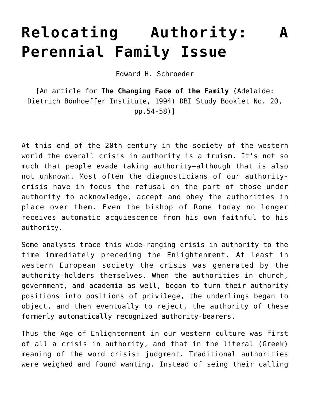## **Relocating Authority: [Perennial Family Issue](https://crossings.org/relocating-authority/)**

Edward H. Schroeder

[An article for **The Changing Face of the Family** (Adelaide: Dietrich Bonhoeffer Institute, 1994) DBI Study Booklet No. 20, pp.54-58)]

At this end of the 20th century in the society of the western world the overall crisis in authority is a truism. It's not so much that people evade taking authority–although that is also not unknown. Most often the diagnosticians of our authoritycrisis have in focus the refusal on the part of those under authority to acknowledge, accept and obey the authorities in place over them. Even the bishop of Rome today no longer receives automatic acquiescence from his own faithful to his authority.

Some analysts trace this wide-ranging crisis in authority to the time immediately preceding the Enlightenment. At least in western European society the crisis was generated by the authority-holders themselves. When the authorities in church, government, and academia as well, began to turn their authority positions into positions of privilege, the underlings began to object, and then eventually to reject, the authority of these formerly automatically recognized authority-bearers.

Thus the Age of Enlightenment in our western culture was first of all a crisis in authority, and that in the literal (Greek) meaning of the word crisis: judgment. Traditional authorities were weighed and found wanting. Instead of seing their calling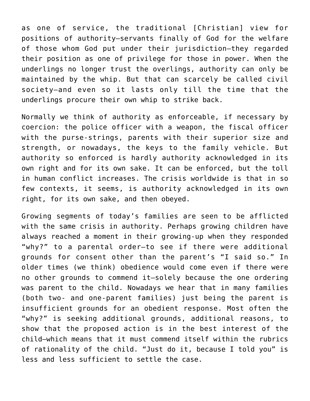as one of service, the traditional [Christian] view for positions of authority–servants finally of God for the welfare of those whom God put under their jurisdiction–they regarded their position as one of privilege for those in power. When the underlings no longer trust the overlings, authority can only be maintained by the whip. But that can scarcely be called civil society–and even so it lasts only till the time that the underlings procure their own whip to strike back.

Normally we think of authority as enforceable, if necessary by coercion: the police officer with a weapon, the fiscal officer with the purse-strings, parents with their superior size and strength, or nowadays, the keys to the family vehicle. But authority so enforced is hardly authority acknowledged in its own right and for its own sake. It can be enforced, but the toll in human conflict increases. The crisis worldwide is that in so few contexts, it seems, is authority acknowledged in its own right, for its own sake, and then obeyed.

Growing segments of today's families are seen to be afflicted with the same crisis in authority. Perhaps growing children have always reached a moment in their growing-up when they responded "why?" to a parental order–to see if there were additional grounds for consent other than the parent's "I said so." In older times (we think) obedience would come even if there were no other grounds to commend it–solely because the one ordering was parent to the child. Nowadays we hear that in many families (both two- and one-parent families) just being the parent is insufficient grounds for an obedient response. Most often the "why?" is seeking additional grounds, additional reasons, to show that the proposed action is in the best interest of the child–which means that it must commend itself within the rubrics of rationality of the child. "Just do it, because I told you" is less and less sufficient to settle the case.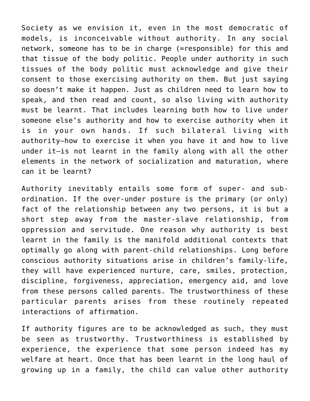Society as we envision it, even in the most democratic of models, is inconceivable without authority. In any social network, someone has to be in charge (=responsible) for this and that tissue of the body politic. People under authority in such tissues of the body politic must acknowledge and give their consent to those exercising authority on them. But just saying so doesn't make it happen. Just as children need to learn how to speak, and then read and count, so also living with authority must be learnt. That includes learning both how to live under someone else's authority and how to exercise authority when it is in your own hands. If such bilateral living with authority–how to exercise it when you have it and how to live under it–is not learnt in the family along with all the other elements in the network of socialization and maturation, where can it be learnt?

Authority inevitably entails some form of super- and subordination. If the over-under posture is the primary (or only) fact of the relationship between any two persons, it is but a short step away from the master-slave relationship, from oppression and servitude. One reason why authority is best learnt in the family is the manifold additional contexts that optimally go along with parent-child relationships. Long before conscious authority situations arise in children's family-life, they will have experienced nurture, care, smiles, protection, discipline, forgiveness, appreciation, emergency aid, and love from these persons called parents. The trustworthiness of these particular parents arises from these routinely repeated interactions of affirmation.

If authority figures are to be acknowledged as such, they must be seen as trustworthy. Trustworthiness is established by experience, the experience that some person indeed has my welfare at heart. Once that has been learnt in the long haul of growing up in a family, the child can value other authority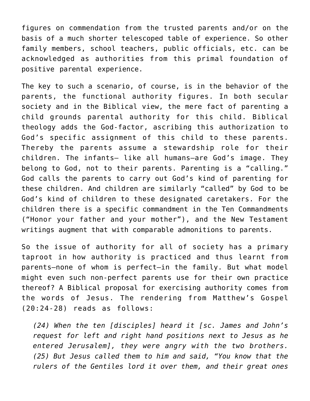figures on commendation from the trusted parents and/or on the basis of a much shorter telescoped table of experience. So other family members, school teachers, public officials, etc. can be acknowledged as authorities from this primal foundation of positive parental experience.

The key to such a scenario, of course, is in the behavior of the parents, the functional authority figures. In both secular society and in the Biblical view, the mere fact of parenting a child grounds parental authority for this child. Biblical theology adds the God-factor, ascribing this authorization to God's specific assignment of this child to these parents. Thereby the parents assume a stewardship role for their children. The infants– like all humans–are God's image. They belong to God, not to their parents. Parenting is a "calling." God calls the parents to carry out God's kind of parenting for these children. And children are similarly "called" by God to be God's kind of children to these designated caretakers. For the children there is a specific commandment in the Ten Commandments ("Honor your father and your mother"), and the New Testament writings augment that with comparable admonitions to parents.

So the issue of authority for all of society has a primary taproot in how authority is practiced and thus learnt from parents–none of whom is perfect–in the family. But what model might even such non-perfect parents use for their own practice thereof? A Biblical proposal for exercising authority comes from the words of Jesus. The rendering from Matthew's Gospel (20:24-28) reads as follows:

*(24) When the ten [disciples] heard it [sc. James and John's request for left and right hand positions next to Jesus as he entered Jerusalem], they were angry with the two brothers. (25) But Jesus called them to him and said, "You know that the rulers of the Gentiles lord it over them, and their great ones*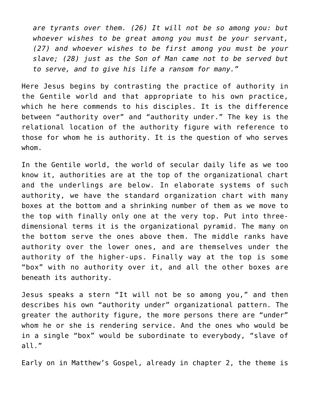*are tyrants over them. (26) It will not be so among you: but whoever wishes to be great among you must be your servant, (27) and whoever wishes to be first among you must be your slave; (28) just as the Son of Man came not to be served but to serve, and to give his life a ransom for many."*

Here Jesus begins by contrasting the practice of authority in the Gentile world and that appropriate to his own practice, which he here commends to his disciples. It is the difference between "authority over" and "authority under." The key is the relational location of the authority figure with reference to those for whom he is authority. It is the question of who serves whom.

In the Gentile world, the world of secular daily life as we too know it, authorities are at the top of the organizational chart and the underlings are below. In elaborate systems of such authority, we have the standard organization chart with many boxes at the bottom and a shrinking number of them as we move to the top with finally only one at the very top. Put into threedimensional terms it is the organizational pyramid. The many on the bottom serve the ones above them. The middle ranks have authority over the lower ones, and are themselves under the authority of the higher-ups. Finally way at the top is some "box" with no authority over it, and all the other boxes are beneath its authority.

Jesus speaks a stern "It will not be so among you," and then describes his own "authority under" organizational pattern. The greater the authority figure, the more persons there are "under" whom he or she is rendering service. And the ones who would be in a single "box" would be subordinate to everybody, "slave of all."

Early on in Matthew's Gospel, already in chapter 2, the theme is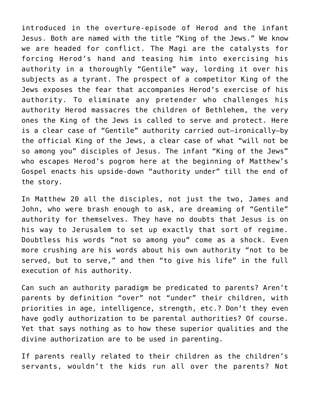introduced in the overture-episode of Herod and the infant Jesus. Both are named with the title "King of the Jews." We know we are headed for conflict. The Magi are the catalysts for forcing Herod's hand and teasing him into exercising his authority in a thoroughly "Gentile" way, lording it over his subjects as a tyrant. The prospect of a competitor King of the Jews exposes the fear that accompanies Herod's exercise of his authority. To eliminate any pretender who challenges his authority Herod massacres the children of Bethlehem, the very ones the King of the Jews is called to serve and protect. Here is a clear case of "Gentile" authority carried out–ironically–by the official King of the Jews, a clear case of what "will not be so among you" disciples of Jesus. The infant "King of the Jews" who escapes Herod's pogrom here at the beginning of Matthew's Gospel enacts his upside-down "authority under" till the end of the story.

In Matthew 20 all the disciples, not just the two, James and John, who were brash enough to ask, are dreaming of "Gentile" authority for themselves. They have no doubts that Jesus is on his way to Jerusalem to set up exactly that sort of regime. Doubtless his words "not so among you" come as a shock. Even more crushing are his words about his own authority "not to be served, but to serve," and then "to give his life" in the full execution of his authority.

Can such an authority paradigm be predicated to parents? Aren't parents by definition "over" not "under" their children, with priorities in age, intelligence, strength, etc.? Don't they even have godly authorization to be parental authorities? Of course. Yet that says nothing as to how these superior qualities and the divine authorization are to be used in parenting.

If parents really related to their children as the children's servants, wouldn't the kids run all over the parents? Not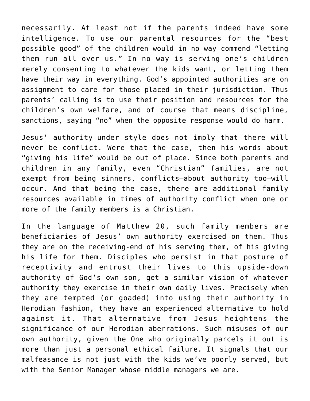necessarily. At least not if the parents indeed have some intelligence. To use our parental resources for the "best possible good" of the children would in no way commend "letting them run all over us." In no way is serving one's children merely consenting to whatever the kids want, or letting them have their way in everything. God's appointed authorities are on assignment to care for those placed in their jurisdiction. Thus parents' calling is to use their position and resources for the children's own welfare, and of course that means discipline, sanctions, saying "no" when the opposite response would do harm.

Jesus' authority-under style does not imply that there will never be conflict. Were that the case, then his words about "giving his life" would be out of place. Since both parents and children in any family, even "Christian" families, are not exempt from being sinners, conflicts–about authority too–will occur. And that being the case, there are additional family resources available in times of authority conflict when one or more of the family members is a Christian.

In the language of Matthew 20, such family members are beneficiaries of Jesus' own authority exercised on them. Thus they are on the receiving-end of his serving them, of his giving his life for them. Disciples who persist in that posture of receptivity and entrust their lives to this upside-down authority of God's own son, get a similar vision of whatever authority they exercise in their own daily lives. Precisely when they are tempted (or goaded) into using their authority in Herodian fashion, they have an experienced alternative to hold against it. That alternative from Jesus heightens the significance of our Herodian aberrations. Such misuses of our own authority, given the One who originally parcels it out is more than just a personal ethical failure. It signals that our malfeasance is not just with the kids we've poorly served, but with the Senior Manager whose middle managers we are.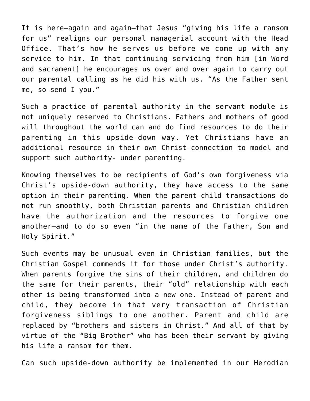It is here–again and again–that Jesus "giving his life a ransom for us" realigns our personal managerial account with the Head Office. That's how he serves us before we come up with any service to him. In that continuing servicing from him [in Word and sacrament] he encourages us over and over again to carry out our parental calling as he did his with us. "As the Father sent me, so send I you."

Such a practice of parental authority in the servant module is not uniquely reserved to Christians. Fathers and mothers of good will throughout the world can and do find resources to do their parenting in this upside-down way. Yet Christians have an additional resource in their own Christ-connection to model and support such authority- under parenting.

Knowing themselves to be recipients of God's own forgiveness via Christ's upside-down authority, they have access to the same option in their parenting. When the parent-child transactions do not run smoothly, both Christian parents and Christian children have the authorization and the resources to forgive one another–and to do so even "in the name of the Father, Son and Holy Spirit."

Such events may be unusual even in Christian families, but the Christian Gospel commends it for those under Christ's authority. When parents forgive the sins of their children, and children do the same for their parents, their "old" relationship with each other is being transformed into a new one. Instead of parent and child, they become in that very transaction of Christian forgiveness siblings to one another. Parent and child are replaced by "brothers and sisters in Christ." And all of that by virtue of the "Big Brother" who has been their servant by giving his life a ransom for them.

Can such upside-down authority be implemented in our Herodian